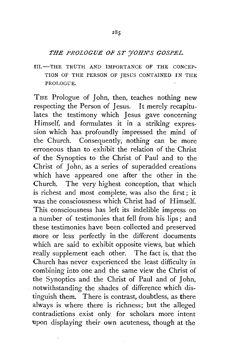## *THE PROLOGUE OF ST 'JOHN'S GOSPEL.*

III.-THE TRUTH AND IMPORTANCE OF THE CONCEP-TION OF THE PERSON OF JESUS CONTAINED IN THE PROLOGUE.

THE Prologue of John, then, teaches nothing new respecting the Person of Jesus. It merely recapitulates the testimony which Jesus gave concerning Himself, and formulates it in a striking expression which has profoundly impressed the mind of the Church. Consequently, nothing can be more erroneous than to exhibit the relation of the Christ of the Synoptics to the Christ of Paul and to the Christ of John, as a series of superadded creations which have appeared one after the other in the Church. The very highest conception, that which is richest and most complete, was also the first; it was the consciousness which Christ had of Himself. This consciousness has left its indelible impress on a number of testimonies that fell from his lips; and these testimonies have been collected and preserved more or less perfectly in the different documents which are said to exhibit opposite views, but which really supplement each other. The fact is, that the Church has never experienced the least difficulty in combining into one and the same view the Christ of the Synoptics and the Christ of Paul and of John, notwithstanding the shades of difference which distinguish them. There is contrast, doubtless, as there always is where there is richness; but the alleged contradictions exist only for scholars more intent upon displaying their own acuteness, though at the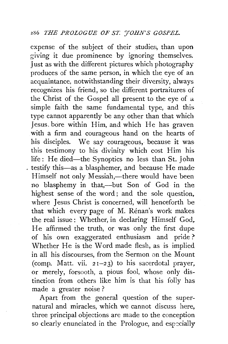expense of the subject of their studies, than upon giving it due prominence by ignoring themselves. Just as with the different pictures which photography produces of the same person, in which the eye of an acquaintance, notwithstanding their diversity, always recognizes his friend, so the different portraitures of the Christ of the Gospel all present to the eye of a simple faith the same fundamental type, and this. type cannot apparently be any other than that which Jesus. bore within Him, and which He has graven with a firm and courageous hand on the hearts of his disciples. We say courageous, because it was this testimony to his divinity which cost Him his life : He died-the Synoptics no less than St. John testify this-as a blasphemer, and because He made Himself not only Messiah,—there would have been no blasphemy in that,--but Son of God in the highest sense of the word; and the sole question, where Jesus Christ is concerned, will henceforth be that which every page of M. Rénan's work makes the real issue : Whether, in declaring Himself God, He affirmed the truth, or was only the first dupe of his own exaggerated enthusiasm and pride ? Whether He is the Word made flesh, as is implied in all his discourses, from the Sermon on the Mount (comp. Matt. vii.  $21-23$ ) to his sacerdotal prayer, or merely, forsooth, a pious fool, whose only distinction from others like him is that his folly has made a greater noise ?

Apart from the general question of the supernatural and miracles, which we cannot discuss here, three principal objections are made to the conception so clearly enunciated in the Prologue, and especially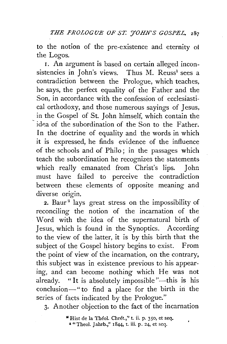to the notion of the pre-existence and eternity ot the Logos.

I. An argument is based on certain alleged inconsistencies in John's views. Thus M. Reuss<sup>1</sup> sees a contradiction between the Prologue, which teaches, he says, the perfect equality of the Father and the Son, in accordance with the confession of ecclesiastical orthodoxy, and those numerous sayings of Jesus, in the Gospel of St. John himself, which contain the idea of the subordination of the Son to the Father. In the doctrine of equality and the words in which it is expressed, he finds evidence of the influence of the schools and of Philo; in the passages which teach the subordination he recognizes the statements which really emanated from Christ's lips. John must have failed to perceive the contradiction between these elements of opposite meaning and diverse origin.

2. Baur<sup>2</sup> lays great stress on the impossibility of reconciling the notion of the incarnation of the Word with the idea of the supernatural birth of Jesus, which is found in the Synoptics. According to the view of the latter, it is by this birth that the subject of the Gospel history begins to exist. From the point of view of the incarnation, on the contrary, this subject was in existence previous to his appearing, and can become nothing which He was not already. "It is absolutely impossible"—this is his conclusion-" to find a place for the birth in the series of facts indicated by the Prologue."

3· Another objection to the fact of the incarnation

<sup>&</sup>quot;Hist de la Théol. Chrét.," t. ii. p. 350, et seq. 2 " Theol. Jahrb.," 1844, t. iii. p. 24, et seq.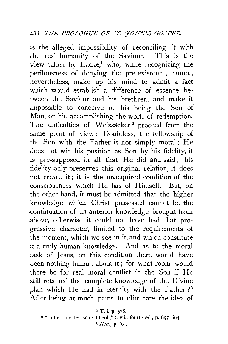is the alleged impossibility of reconciling it with the real humanity of the Saviour. This is the view taken by Lücke,<sup>1</sup> who, while recognizing the perilousness of denying the pre-existence, cannot, nevertheless, make up his mind to admit a fact which would establish a difference of essence between the Saviour and his brethren, and make it impossible to conceive of his being the Son of Man, or his accomplishing the work of redemption. The difficulties of Weizsäcker<sup>2</sup> proceed from the same point of view : Doubtless, the fellowship of the Son with the Father is not simply moral; He does not win his position as Son by his fidelity, it is pre-supposed in all that He did and said; his fidelity only preserves this original relation, it does not create it; it is the unacquired condition of the consciousness which He has of Himself. But, on the other hand, it must be admitted that the higher knowledge which Christ possessed cannot be the -continuation of an anterior knowledge brought from above, otherwise it could not have had that progressive character, limited to the requirements of the moment, which we see in it, and which constitute it a truly human knowledge. And as to the moral task of Jesus, on this condition there would have been nothing human about it; for what room would there be for real moral conflict in the Son if He still retained that complete knowledge of the Divine plan which He had in eternity with the Father?<sup>3</sup> After being at much pains to eliminate the idea of

1 T. i. p. 378.

a" Jahrb. fur deutsche Theol.," t. vii., fourth ed., p. 655-664- 3 *Ibid.,* p. 639.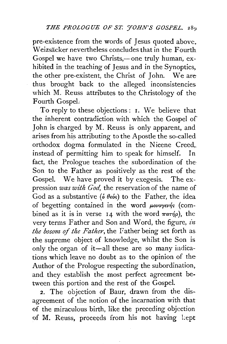pre-existence from the words of Jesus quoted above. Weizsacker nevertheless concludes that in the Fourth Gospel we have two Christs,-one truly human, exhibited in the teaching of Jesus and in the Synoptics, the other pre-existent, the Christ of John. We are thus brought back to the alleged inconsistencies which M. Reuss attributes to the Christology of the Fourth GospeL

To reply to these objections : 1. We believe that the inherent contradiction with which the Gospel of John is charged by M. Reuss is only apparent, and arises from his attributing to the Apostle the so-called orthodox dogma formulated in the Nicene Creed, instead of permitting him to speak for himself. In fact, the Prologue teaches the subordination of the Son to the Father as positively as the rest of the Gospel. We have proved it by exegesis. The expression *was with God,* the reservation of the name of God as a substantive ( $\delta \theta_{\epsilon}$  of the Father, the idea of begetting contained in the word  $\mu o\nu o\nu e\nu n$ ; (combined as it is in verse 14 with the word  $\pi a \tau \eta \rho$ ), the very terms Father and Son and Word, the figure, *in the bosom of the Father*, the Father being set forth as the supreme object of knowledge, whilst the Son is only the organ of it-all these are so many indications which leave no doubt as to the opinion of the Author of the Prologue respecting the subordination, and they establish the most perfect agreement between this portion and the rest of the Gospel.

2. The objection of Baur, drawn from the disagreement of the notion of the incarnation with that of the miraculous birth, like the preceding objection of M. Reuss, proceeds from his not having Lept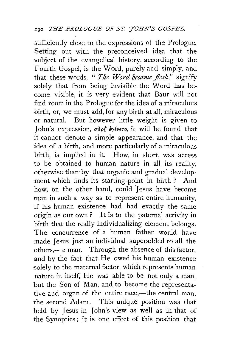sufficiently close to the expressions of the Prologue. Setting out with the preconceived idea that the subject of the evangelical history, according to the Fourth Gospel, is the Word, purely and simply, and that these words, " *The Word became flesh,"* signify solely that from being invisible the Word has become visible, it is very evident that Baur will not find room in the Prologue for the idea of a miraculous birth, or, we must add, for any birth at all, miraculous or natural. But however little weight is given to *John's* expression, σàρξ έγένετο, it will be found that it cannot denote a simple appearance, and that the idea of a birth, and more particularly of a miraculous birth, is implied in it. How, in short, was access to be obtained to human nature in all its reality, otherwise than by that organic and gradual development which finds its starting-point in birth ? And how, on the other hand, could *']* esus have become man in such a way as to represent entire humanity, if his human existence had had exactly the same origin as our own? It is to the paternal activity in birth that the really individualizing element belongs. The concurrence of a human father would have made Jesus just an individual superadded to all the others, $-a$  man. Through the absence of this factor, and by the fact that He owed his human existence solely to the maternal factor, which represents human nature in itself, He was able to be not only a man, but the Son of Man, and to become the representative and organ of the entire race,-the central man. the second Adam. This unique position was that held by Jesus in John's view as well as in that of the Synoptics; it is one effect of this position that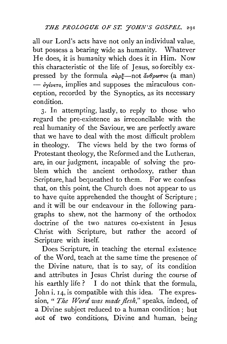all our Lord's acts have not only an individual value, but possess a bearing wide as humanity. Whatever He does, it is humanity which does it in Him. Now this characteristic ot the life of Jesus, so forcibly expressed by the formula  $\sigma \alpha \rho \xi$ —not  $\alpha \psi \rho \omega \pi$ os (a man)  $-\epsilon_{\gamma\epsilon\gamma\epsilon\tau\sigma}$ , implies and supposes the miraculous conception, recorded by the Synoptics, as its necessary condition.

3· In attempting, lastly, to reply to those who regard the pre-existence as irreconcilable with the real humanity of the Saviour, we are perfectly aware that we have to deal with the most difficult problem in theology. The views held by the two forms of Protestant theology, the Reformed and the Lutheran, are, in our judgment, incapable of solving the problem which the ancient orthodoxy, rather than Scripture, had bequeathed to them. For we confess that, on this point, the Church does not appear to us to have quite apprehended the thought of Scripture; and it will be our endeavour in the following paragraphs to shew, not the harmony of the orthodox doctrine of the two natures co-existent in Jesus Christ with Scripture, but rather the accord of Scripture with itself.

Does Scripture, in teaching the eternal existence of the Word, teach at the same time the presence of the Divine nature, that is to say, of its condition and attributes in Jesus Christ during the course of his earthly life? I do not think that the formula, John i. 14, is compatible with this idea. The expression, " *The Word was made flesh,"* speaks, indeed, of a Divine subject reduced to a human condition ; but dot of two conditions, Divine and human. being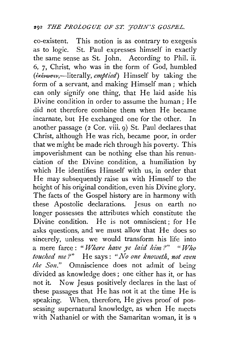co-existent. This notion is as contrary to exegesis as to logic. St. Paul expresses himself in exactly the same sense as St. John. According to Phil. ii. 6, 7, Christ, who was in the form of God, humbled (€K€vwuev,-literally, *emptied)* Himself by taking the form of a servant, and making Himself man; which can only signify one thing, that He laid aside his Divine condition in order to assume the human; He did not therefore combine them when He became incarnate, but He exchanged one for the other. In another passage  $(2 \text{ Cor. viii. 9})$  St. Paul declares that Christ, although He was rich, became poor, in order that we might be made rich through his poverty. This impoverishment can be nothing else than his renunciation of the Divine condition, a humiliation by which He identifies Himself with us, in order that He may subsequently raise us with Himself to the height of his original condition, even his Divine glory. The facts of the Gospel history are in harmony with these Apostolic declarations. Jesus on earth no longer possesses the attributes which constitute the Divine condition. He is not omniscient; for He asks questions, and we must allow that He does so sincerely, unless we would transform his life into a mere farce: "*Where have ye laid him?*" "Who *touched me?"* He says: "No one knoweth, not even the Son." Omniscience does not admit of being divided as knowledge does ; one either has it, or has not it. Now Jesus positively declares in the last of these passages that He has not it at the time He is speaking. When, therefore, He gives proof of possessing supernatural knowledge, as when He meets with Nathaniel or with the Samaritan woman, it is  $\alpha$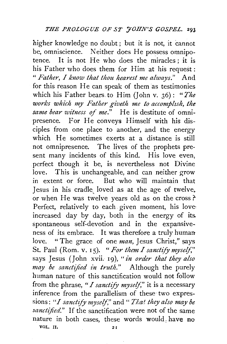higher knowledge no doubt ; but it is not, it cannot be, omniscience. Neither does He possess omnipotence. It is not He who does the miracles; it is his Father who does them for Him at his request : *" Father, I know that thou hearest me always.*" And for this reason He can speak of them as testimonies which his Father bears. to Him (John v. 36): *"The works which my Father giveth me to accomplzsh, the same bear witness of me."* He is destitute of omnipresence. For He conveys Himself with his disciples from one place to another, and the energy which He sometimes exerts at a distance is still not omnipresence. The lives of the prophets present many incidents of this kind. His love even, perfect though it be, is nevertheless not Divine love. This is unchangeable, and can neither grow in extent or force. But who will maintain that Jesus in his cradle loved as at the age of twelve, or when He was twelve years old as on the cross *t*  Perfect, relatively to each given moment, his loveincreased day by day, both in the energy of its. spontaneous self-devotion and in the expansiveness of its embrace. It was therefore a truly human love. " The grace of one *man*, Jesus Christ," says St. Paul (Rom. V. Is). *"For them* I *sanctify myself,"*  says Jesus (John xvii. 19), "*in order that they also* may be sanctified in truth." Although the purely human nature of this sanctification would not follow from the phrase, *"I sanctify myself,"* it is a necessary inference from the parallelism of these two expressions: *"I sanctify myself,"* and" *Tliat they also may be sanctified."* If the sanctification were not of the same nature in both cases, these words would, have no VOL. II.  $21$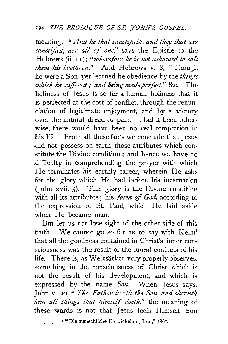## *.. z94 THE PROLOGUE OF SI; J'OHN'S GOSPEL.*

meaning. " And he that sanctifieth, and they that are *sanctified, are all of one,"* says the Epistle to the Hebrews (ii. 11); "wherefore he is not ashamed to call *them his brethren."* And Hebrews v. 8, "Though he were a Son, yet learned he obedience by the *things which he suffered; and being made perfect,*" &c. The holiness of Jesus is so far a human holiness that it is perfected at the cost of conflict, through the renunciation of legitimate enjoyment, and by a victory over the natural dread of pain. Had it been otherwise, there would have been no real temptation in A1is life. From all these facts we conclude that Jesus .did not possess on earth those attributes which con- :stitute the Divine condition ; and hence we have no .difficulty in comprehending the prayer with which *He* terminates his earthly career, wherein He asks for the glory which He had before his incarnation (John xvii. 5). This glory is the Divine condition with all its attributes ; his *form of God,* according to the expression of St. Paul, which He laid aside when He became man.

But let us not lose sight of the other side of this truth. We cannot go so far as to say with Keim<sup>1</sup> that all the goodness contained in Christ's inner consciousness was the result of the moral conflicts of his life. There is, as Weizsacker very properly observes, something in the consciousness of Christ which is not the result of his development, and which is expressed by the name *Son.* When Jesus says, John v. 20, " The Father loveth the Son, and sheweth *him all things that himself doeth,"* the meaning of these words is not that Jesus feels Himself Son

I "Die menschliche Entwickelung Jesu," 1861.